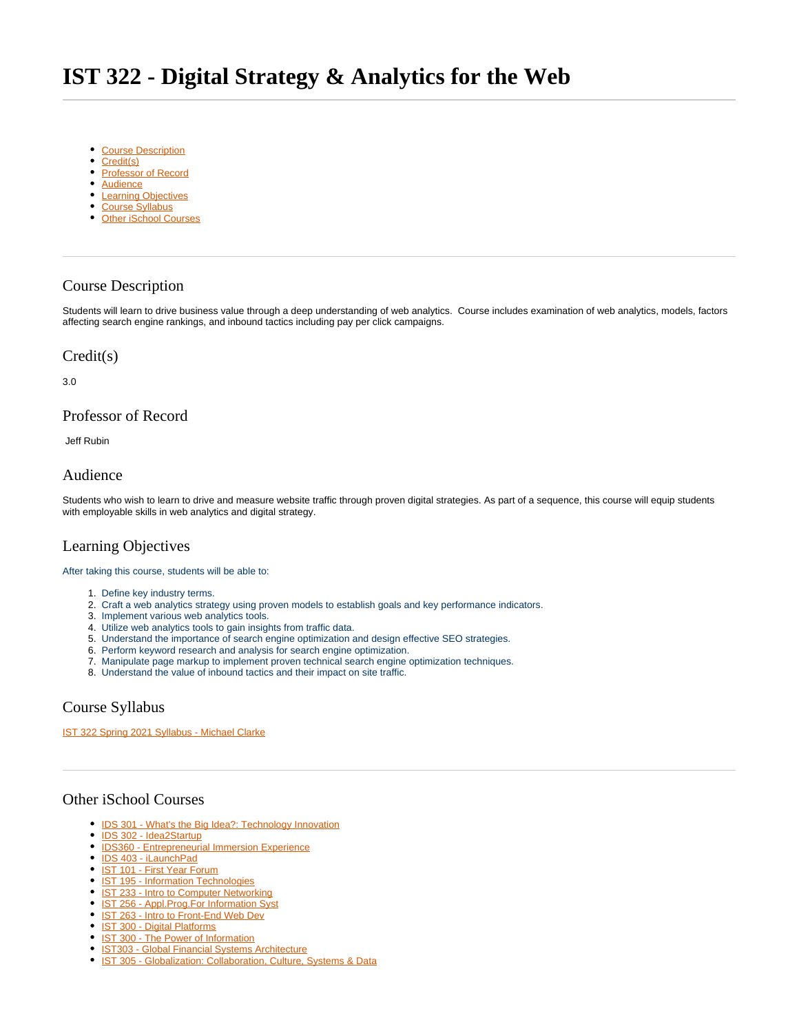- <span id="page-0-7"></span>• [Course Description](#page-0-0)
- [Credit\(s\)](#page-0-1)
- [Professor of Record](#page-0-2)
- [Audience](#page-0-3)
- [Learning Objectives](#page-0-4)
- [Course Syllabus](#page-0-5)
- [Other iSchool Courses](#page-0-6)

## <span id="page-0-0"></span>Course Description

Students will learn to drive business value through a deep understanding of web analytics. Course includes examination of web analytics, models, factors affecting search engine rankings, and inbound tactics including pay per click campaigns.

#### <span id="page-0-1"></span>Credit(s)

3.0

## <span id="page-0-2"></span>Professor of Record

Jeff Rubin

### <span id="page-0-3"></span>Audience

Students who wish to learn to drive and measure website traffic through proven digital strategies. As part of a sequence, this course will equip students with employable skills in web analytics and digital strategy.

# <span id="page-0-4"></span>Learning Objectives

After taking this course, students will be able to:

- 1. Define key industry terms.
- 2. Craft a web analytics strategy using proven models to establish goals and key performance indicators.
- 3. Implement various web analytics tools.
- 4. Utilize web analytics tools to gain insights from traffic data.
- 5. Understand the importance of search engine optimization and design effective SEO strategies.
- 6. Perform keyword research and analysis for search engine optimization.
- 7. Manipulate page markup to implement proven technical search engine optimization techniques.
- 8. Understand the value of inbound tactics and their impact on site traffic.

## <span id="page-0-5"></span>Course Syllabus

[IST 322 Spring 2021 Syllabus - Michael Clarke](https://sumailsyr.sharepoint.com/:b:/s/iSchool2/EbJv81Di2eVHvwzDDuHQL-UBpt888tcGIKMnaVdkAKF7SQ?e=ldxwWv)

### <span id="page-0-6"></span>Other iSchool Courses

- [IDS 301 What's the Big Idea?: Technology Innovation](https://answers.syr.edu/pages/viewpage.action?pageId=105105572)
- [IDS 302 Idea2Startup](https://answers.syr.edu/display/ischool/IDS+302+-+Idea2Startup)
- **[IDS360 Entrepreneurial Immersion Experience](https://answers.syr.edu/display/ischool/IDS360+-+Entrepreneurial+Immersion+Experience)**
- [IDS 403 iLaunchPad](https://answers.syr.edu/display/ischool/IDS+403+-+iLaunchPad)
- [IST 101 First Year Forum](https://answers.syr.edu/display/ischool/IST+101+-+First+Year+Forum)
- [IST 195 Information Technologies](https://answers.syr.edu/display/ischool/IST+195+-+Information+Technologies)
- [IST 233 Intro to Computer Networking](https://answers.syr.edu/display/ischool/IST+233+-+Intro+to+Computer++Networking)
- <sup>o</sup> [IST 256 Appl.Prog.For Information Syst](https://answers.syr.edu/display/ischool/IST+256+-+Appl.Prog.For+Information+Syst)
- **[IST 263 Intro to Front-End Web Dev](https://answers.syr.edu/display/ischool/IST+263+-+Intro+to+Front-End+Web+Dev)**
- [IST 300 Digital Platforms](https://answers.syr.edu/display/ischool/IST+300+-+Digital+Platforms)
- [IST 300 The Power of Information](https://answers.syr.edu/display/ischool/IST+300+-+The+Power+of+Information)
- **[IST303 Global Financial Systems Architecture](https://answers.syr.edu/display/ischool/IST303+-+Global+Financial+Systems+Architecture)**
- <sup>o</sup> [IST 305 Globalization: Collaboration, Culture, Systems & Data](https://answers.syr.edu/pages/viewpage.action?pageId=105104185)